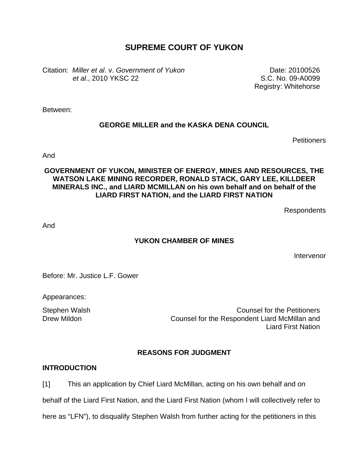# **SUPREME COURT OF YUKON**

Citation: *Miller et al*. v. *Government of Yukon et al*., 2010 YKSC 22

Date: 20100526 S.C. No. 09-A0099 Registry: Whitehorse

Between:

### **GEORGE MILLER and the KASKA DENA COUNCIL**

**Petitioners** 

And

### **GOVERNMENT OF YUKON, MINISTER OF ENERGY, MINES AND RESOURCES, THE WATSON LAKE MINING RECORDER, RONALD STACK, GARY LEE, KILLDEER MINERALS INC., and LIARD MCMILLAN on his own behalf and on behalf of the LIARD FIRST NATION, and the LIARD FIRST NATION**

Respondents

And

### **YUKON CHAMBER OF MINES**

Intervenor

Before: Mr. Justice L.F. Gower

Appearances:

Stephen Walsh Counsel for the Petitioners Drew Mildon Counsel for the Respondent Liard McMillan and Liard First Nation

# **REASONS FOR JUDGMENT**

### **INTRODUCTION**

[1] This an application by Chief Liard McMillan, acting on his own behalf and on

behalf of the Liard First Nation, and the Liard First Nation (whom I will collectively refer to

here as "LFN"), to disqualify Stephen Walsh from further acting for the petitioners in this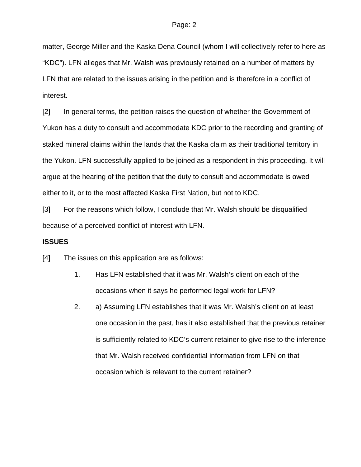matter, George Miller and the Kaska Dena Council (whom I will collectively refer to here as "KDC"). LFN alleges that Mr. Walsh was previously retained on a number of matters by LFN that are related to the issues arising in the petition and is therefore in a conflict of interest.

[2] In general terms, the petition raises the question of whether the Government of Yukon has a duty to consult and accommodate KDC prior to the recording and granting of staked mineral claims within the lands that the Kaska claim as their traditional territory in the Yukon. LFN successfully applied to be joined as a respondent in this proceeding. It will argue at the hearing of the petition that the duty to consult and accommodate is owed either to it, or to the most affected Kaska First Nation, but not to KDC.

[3] For the reasons which follow, I conclude that Mr. Walsh should be disqualified because of a perceived conflict of interest with LFN.

### **ISSUES**

[4] The issues on this application are as follows:

- 1. Has LFN established that it was Mr. Walsh's client on each of the occasions when it says he performed legal work for LFN?
- 2. a) Assuming LFN establishes that it was Mr. Walsh's client on at least one occasion in the past, has it also established that the previous retainer is sufficiently related to KDC's current retainer to give rise to the inference that Mr. Walsh received confidential information from LFN on that occasion which is relevant to the current retainer?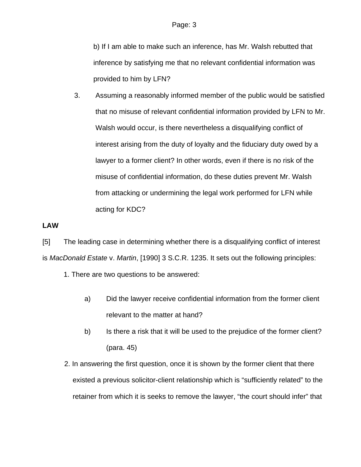b) If I am able to make such an inference, has Mr. Walsh rebutted that inference by satisfying me that no relevant confidential information was provided to him by LFN?

3. Assuming a reasonably informed member of the public would be satisfied that no misuse of relevant confidential information provided by LFN to Mr. Walsh would occur, is there nevertheless a disqualifying conflict of interest arising from the duty of loyalty and the fiduciary duty owed by a lawyer to a former client? In other words, even if there is no risk of the misuse of confidential information, do these duties prevent Mr. Walsh from attacking or undermining the legal work performed for LFN while acting for KDC?

### **LAW**

[5] The leading case in determining whether there is a disqualifying conflict of interest is *MacDonald Estate* v. *Martin*, [1990] 3 S.C.R. 1235. It sets out the following principles:

1. There are two questions to be answered:

- a) Did the lawyer receive confidential information from the former client relevant to the matter at hand?
- b) Is there a risk that it will be used to the prejudice of the former client? (para. 45)
- 2. In answering the first question, once it is shown by the former client that there existed a previous solicitor-client relationship which is "sufficiently related" to the retainer from which it is seeks to remove the lawyer, "the court should infer" that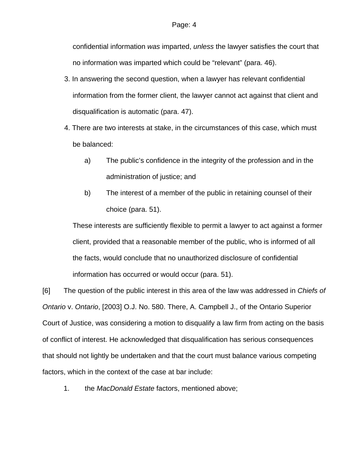confidential information *was* imparted, *unless* the lawyer satisfies the court that no information was imparted which could be "relevant" (para. 46).

- 3. In answering the second question, when a lawyer has relevant confidential information from the former client, the lawyer cannot act against that client and disqualification is automatic (para. 47).
- 4. There are two interests at stake, in the circumstances of this case, which must be balanced:
	- a) The public's confidence in the integrity of the profession and in the administration of justice; and
	- b) The interest of a member of the public in retaining counsel of their choice (para. 51).

These interests are sufficiently flexible to permit a lawyer to act against a former client, provided that a reasonable member of the public, who is informed of all the facts, would conclude that no unauthorized disclosure of confidential information has occurred or would occur (para. 51).

[6] The question of the public interest in this area of the law was addressed in *Chiefs of Ontario* v. *Ontario*, [2003] O.J. No. 580. There, A. Campbell J., of the Ontario Superior Court of Justice, was considering a motion to disqualify a law firm from acting on the basis of conflict of interest. He acknowledged that disqualification has serious consequences that should not lightly be undertaken and that the court must balance various competing factors, which in the context of the case at bar include:

1. the *MacDonald Estate* factors, mentioned above;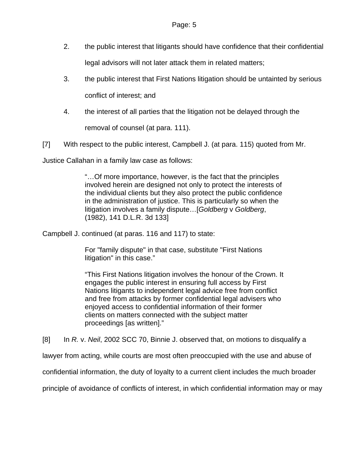- 2. the public interest that litigants should have confidence that their confidential legal advisors will not later attack them in related matters;
- 3. the public interest that First Nations litigation should be untainted by serious

conflict of interest; and

4. the interest of all parties that the litigation not be delayed through the

removal of counsel (at para. 111).

[7] With respect to the public interest, Campbell J. (at para. 115) quoted from Mr.

Justice Callahan in a family law case as follows:

"…Of more importance, however, is the fact that the principles involved herein are designed not only to protect the interests of the individual clients but they also protect the public confidence in the administration of justice. This is particularly so when the litigation involves a family dispute…[*Goldberg* v *Goldberg*, (1982), 141 D.L.R. 3d 133]

Campbell J. continued (at paras. 116 and 117) to state:

For "family dispute" in that case, substitute "First Nations litigation" in this case."

"This First Nations litigation involves the honour of the Crown. It engages the public interest in ensuring full access by First Nations litigants to independent legal advice free from conflict and free from attacks by former confidential legal advisers who enjoyed access to confidential information of their former clients on matters connected with the subject matter proceedings [as written]."

[8] In *R.* v. *Neil*, 2002 SCC 70, Binnie J. observed that, on motions to disqualify a

lawyer from acting, while courts are most often preoccupied with the use and abuse of

confidential information, the duty of loyalty to a current client includes the much broader

principle of avoidance of conflicts of interest, in which confidential information may or may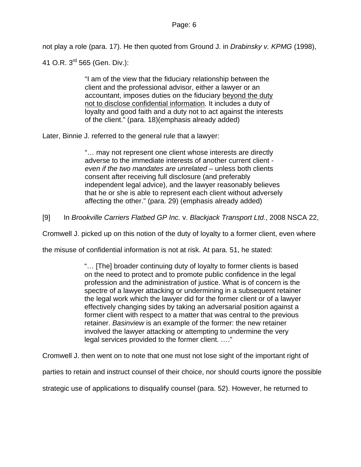not play a role (para. 17). He then quoted from Ground J. in *Drabinsky v. KPMG* (1998),

41 O.R. 3<sup>rd</sup> 565 (Gen. Div.):

"I am of the view that the fiduciary relationship between the client and the professional advisor, either a lawyer or an accountant, imposes duties on the fiduciary beyond the duty not to disclose confidential information. It includes a duty of loyalty and good faith and a duty not to act against the interests of the client." (para. 18)(emphasis already added)

Later, Binnie J. referred to the general rule that a lawyer:

"… may not represent one client whose interests are directly adverse to the immediate interests of another current client *even if the two mandates are unrelated* – unless both clients consent after receiving full disclosure (and preferably independent legal advice), and the lawyer reasonably believes that he or she is able to represent each client without adversely affecting the other." (para. 29) (emphasis already added)

[9] In *Brookville Carriers Flatbed GP Inc.* v. *Blackjack Transport Ltd.*, 2008 NSCA 22,

Cromwell J. picked up on this notion of the duty of loyalty to a former client, even where

the misuse of confidential information is not at risk. At para. 51, he stated:

"… [The] broader continuing duty of loyalty to former clients is based on the need to protect and to promote public confidence in the legal profession and the administration of justice. What is of concern is the spectre of a lawyer attacking or undermining in a subsequent retainer the legal work which the lawyer did for the former client or of a lawyer effectively changing sides by taking an adversarial position against a former client with respect to a matter that was central to the previous retainer. *Basinview* is an example of the former: the new retainer involved the lawyer attacking or attempting to undermine the very legal services provided to the former client. *…*."

Cromwell J. then went on to note that one must not lose sight of the important right of

parties to retain and instruct counsel of their choice, nor should courts ignore the possible

strategic use of applications to disqualify counsel (para. 52). However, he returned to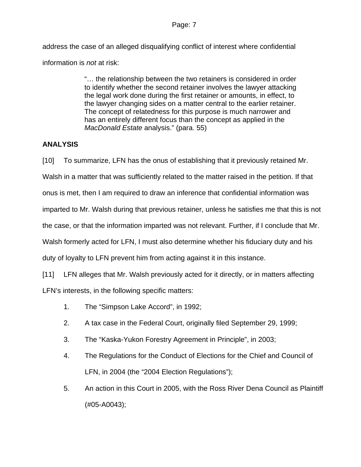### Page: 7

address the case of an alleged disqualifying conflict of interest where confidential information is *not* at risk:

> "… the relationship between the two retainers is considered in order to identify whether the second retainer involves the lawyer attacking the legal work done during the first retainer or amounts, in effect, to the lawyer changing sides on a matter central to the earlier retainer. The concept of relatedness for this purpose is much narrower and has an entirely different focus than the concept as applied in the *MacDonald Estate* analysis." (para. 55)

## **ANALYSIS**

[10] To summarize, LFN has the onus of establishing that it previously retained Mr. Walsh in a matter that was sufficiently related to the matter raised in the petition. If that onus is met, then I am required to draw an inference that confidential information was imparted to Mr. Walsh during that previous retainer, unless he satisfies me that this is not the case, or that the information imparted was not relevant. Further, if I conclude that Mr. Walsh formerly acted for LFN, I must also determine whether his fiduciary duty and his duty of loyalty to LFN prevent him from acting against it in this instance.

[11] LFN alleges that Mr. Walsh previously acted for it directly, or in matters affecting LFN's interests, in the following specific matters:

- 1. The "Simpson Lake Accord", in 1992;
- 2. A tax case in the Federal Court, originally filed September 29, 1999;
- 3. The "Kaska-Yukon Forestry Agreement in Principle", in 2003;
- 4. The Regulations for the Conduct of Elections for the Chief and Council of LFN, in 2004 (the "2004 Election Regulations");
- 5. An action in this Court in 2005, with the Ross River Dena Council as Plaintiff (#05-A0043);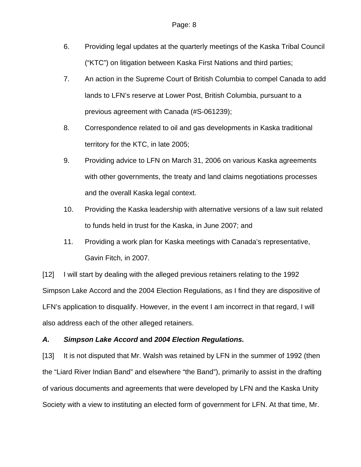- 6. Providing legal updates at the quarterly meetings of the Kaska Tribal Council ("KTC") on litigation between Kaska First Nations and third parties;
- 7. An action in the Supreme Court of British Columbia to compel Canada to add lands to LFN's reserve at Lower Post, British Columbia, pursuant to a previous agreement with Canada (#S-061239);
- 8. Correspondence related to oil and gas developments in Kaska traditional territory for the KTC, in late 2005;
- 9. Providing advice to LFN on March 31, 2006 on various Kaska agreements with other governments, the treaty and land claims negotiations processes and the overall Kaska legal context.
- 10. Providing the Kaska leadership with alternative versions of a law suit related to funds held in trust for the Kaska, in June 2007; and
- 11. Providing a work plan for Kaska meetings with Canada's representative, Gavin Fitch, in 2007.

[12] I will start by dealing with the alleged previous retainers relating to the 1992 Simpson Lake Accord and the 2004 Election Regulations, as I find they are dispositive of LFN's application to disqualify. However, in the event I am incorrect in that regard, I will also address each of the other alleged retainers.

### *A. Simpson Lake Accord* **and** *2004 Election Regulations.*

[13] It is not disputed that Mr. Walsh was retained by LFN in the summer of 1992 (then the "Liard River Indian Band" and elsewhere "the Band"), primarily to assist in the drafting of various documents and agreements that were developed by LFN and the Kaska Unity Society with a view to instituting an elected form of government for LFN. At that time, Mr.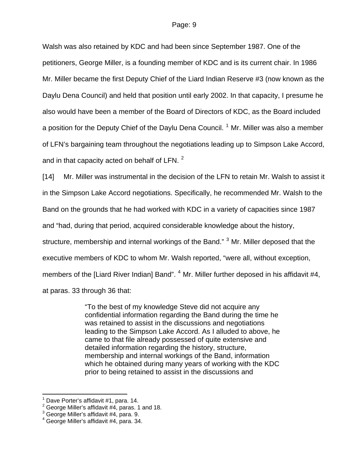Walsh was also retained by KDC and had been since September 1987. One of the petitioners, George Miller, is a founding member of KDC and is its current chair. In 1986 Mr. Miller became the first Deputy Chief of the Liard Indian Reserve #3 (now known as the Daylu Dena Council) and held that position until early 2002. In that capacity, I presume he also would have been a member of the Board of Directors of KDC, as the Board included a position for the Deputy Chief of the Daylu Dena Council. <sup>[1](#page-8-0)</sup> Mr. Miller was also a member of LFN's bargaining team throughout the negotiations leading up to Simpson Lake Accord, and in that capacity acted on behalf of LFN.  $^2$  $^2$ 

[14] Mr. Miller was instrumental in the decision of the LFN to retain Mr. Walsh to assist it in the Simpson Lake Accord negotiations. Specifically, he recommended Mr. Walsh to the Band on the grounds that he had worked with KDC in a variety of capacities since 1987 and "had, during that period, acquired considerable knowledge about the history, structure, membership and internal workings of the Band." <sup>[3](#page-8-2)</sup> Mr. Miller deposed that the executive members of KDC to whom Mr. Walsh reported, "were all, without exception, members of the [Liard River Indian] Band". <sup>[4](#page-8-3)</sup> Mr. Miller further deposed in his affidavit #4, at paras. 33 through 36 that:

> "To the best of my knowledge Steve did not acquire any confidential information regarding the Band during the time he was retained to assist in the discussions and negotiations leading to the Simpson Lake Accord. As I alluded to above, he came to that file already possessed of quite extensive and detailed information regarding the history, structure, membership and internal workings of the Band, information which he obtained during many years of working with the KDC prior to being retained to assist in the discussions and

 $\overline{a}$ 

<span id="page-8-0"></span><sup>1</sup> Dave Porter's affidavit #1, para. 14.

<span id="page-8-1"></span> $2$  George Miller's affidavit #4, paras. 1 and 18.

<span id="page-8-2"></span><sup>3</sup> George Miller's affidavit #4, para. 9.

<span id="page-8-3"></span><sup>4</sup> George Miller's affidavit #4, para. 34.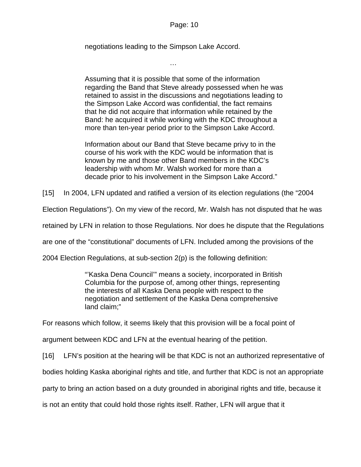negotiations leading to the Simpson Lake Accord.

…

Assuming that it is possible that some of the information regarding the Band that Steve already possessed when he was retained to assist in the discussions and negotiations leading to the Simpson Lake Accord was confidential, the fact remains that he did not acquire that information while retained by the Band: he acquired it while working with the KDC throughout a more than ten-year period prior to the Simpson Lake Accord.

Information about our Band that Steve became privy to in the course of his work with the KDC would be information that is known by me and those other Band members in the KDC's leadership with whom Mr. Walsh worked for more than a decade prior to his involvement in the Simpson Lake Accord."

[15] In 2004, LFN updated and ratified a version of its election regulations (the "2004

Election Regulations"). On my view of the record, Mr. Walsh has not disputed that he was

retained by LFN in relation to those Regulations. Nor does he dispute that the Regulations

are one of the "constitutional" documents of LFN. Included among the provisions of the

2004 Election Regulations, at sub-section 2(p) is the following definition:

"'Kaska Dena Council'" means a society, incorporated in British Columbia for the purpose of, among other things, representing the interests of all Kaska Dena people with respect to the negotiation and settlement of the Kaska Dena comprehensive land claim;"

For reasons which follow, it seems likely that this provision will be a focal point of

argument between KDC and LFN at the eventual hearing of the petition.

[16] LFN's position at the hearing will be that KDC is not an authorized representative of

bodies holding Kaska aboriginal rights and title, and further that KDC is not an appropriate

party to bring an action based on a duty grounded in aboriginal rights and title, because it

is not an entity that could hold those rights itself. Rather, LFN will argue that it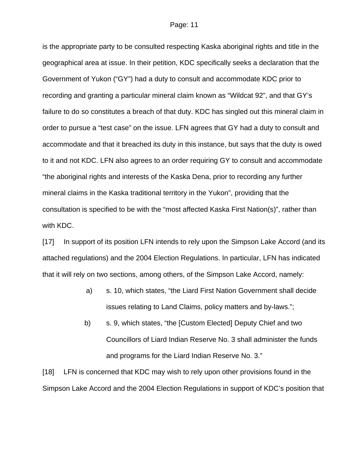is the appropriate party to be consulted respecting Kaska aboriginal rights and title in the geographical area at issue. In their petition, KDC specifically seeks a declaration that the Government of Yukon ("GY") had a duty to consult and accommodate KDC prior to recording and granting a particular mineral claim known as "Wildcat 92", and that GY's failure to do so constitutes a breach of that duty. KDC has singled out this mineral claim in order to pursue a "test case" on the issue. LFN agrees that GY had a duty to consult and accommodate and that it breached its duty in this instance, but says that the duty is owed to it and not KDC. LFN also agrees to an order requiring GY to consult and accommodate "the aboriginal rights and interests of the Kaska Dena, prior to recording any further mineral claims in the Kaska traditional territory in the Yukon", providing that the consultation is specified to be with the "most affected Kaska First Nation(s)", rather than with KDC.

[17] In support of its position LFN intends to rely upon the Simpson Lake Accord (and its attached regulations) and the 2004 Election Regulations. In particular, LFN has indicated that it will rely on two sections, among others, of the Simpson Lake Accord, namely:

- a) s. 10, which states, "the Liard First Nation Government shall decide issues relating to Land Claims, policy matters and by-laws.";
- b) s. 9, which states, "the [Custom Elected] Deputy Chief and two Councillors of Liard Indian Reserve No. 3 shall administer the funds and programs for the Liard Indian Reserve No. 3."

[18] LFN is concerned that KDC may wish to rely upon other provisions found in the Simpson Lake Accord and the 2004 Election Regulations in support of KDC's position that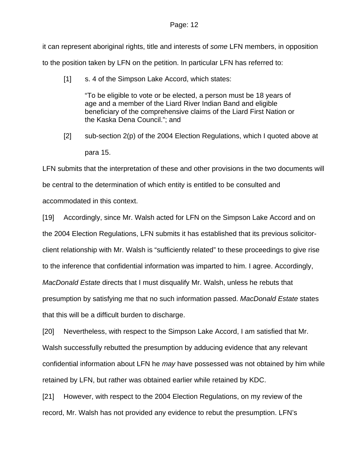#### Page: 12

it can represent aboriginal rights, title and interests of *some* LFN members, in opposition to the position taken by LFN on the petition. In particular LFN has referred to:

[1] s. 4 of the Simpson Lake Accord, which states:

"To be eligible to vote or be elected, a person must be 18 years of age and a member of the Liard River Indian Band and eligible beneficiary of the comprehensive claims of the Liard First Nation or the Kaska Dena Council."; and

[2] sub-section 2(p) of the 2004 Election Regulations, which I quoted above at para 15.

LFN submits that the interpretation of these and other provisions in the two documents will be central to the determination of which entity is entitled to be consulted and accommodated in this context.

[19] Accordingly, since Mr. Walsh acted for LFN on the Simpson Lake Accord and on the 2004 Election Regulations, LFN submits it has established that its previous solicitorclient relationship with Mr. Walsh is "sufficiently related" to these proceedings to give rise to the inference that confidential information was imparted to him. I agree. Accordingly, *MacDonald Estate* directs that I must disqualify Mr. Walsh, unless he rebuts that presumption by satisfying me that no such information passed. *MacDonald Estate* states that this will be a difficult burden to discharge.

[20] Nevertheless, with respect to the Simpson Lake Accord, I am satisfied that Mr. Walsh successfully rebutted the presumption by adducing evidence that any relevant confidential information about LFN he *may* have possessed was not obtained by him while retained by LFN, but rather was obtained earlier while retained by KDC.

[21] However, with respect to the 2004 Election Regulations, on my review of the record, Mr. Walsh has not provided any evidence to rebut the presumption. LFN's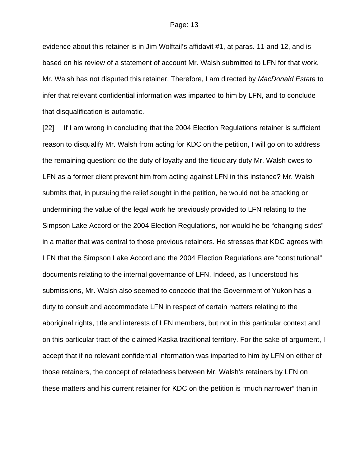evidence about this retainer is in Jim Wolftail's affidavit #1, at paras. 11 and 12, and is based on his review of a statement of account Mr. Walsh submitted to LFN for that work. Mr. Walsh has not disputed this retainer. Therefore, I am directed by *MacDonald Estate* to infer that relevant confidential information was imparted to him by LFN, and to conclude that disqualification is automatic.

[22] If I am wrong in concluding that the 2004 Election Regulations retainer is sufficient reason to disqualify Mr. Walsh from acting for KDC on the petition, I will go on to address the remaining question: do the duty of loyalty and the fiduciary duty Mr. Walsh owes to LFN as a former client prevent him from acting against LFN in this instance? Mr. Walsh submits that, in pursuing the relief sought in the petition, he would not be attacking or undermining the value of the legal work he previously provided to LFN relating to the Simpson Lake Accord or the 2004 Election Regulations, nor would he be "changing sides" in a matter that was central to those previous retainers. He stresses that KDC agrees with LFN that the Simpson Lake Accord and the 2004 Election Regulations are "constitutional" documents relating to the internal governance of LFN. Indeed, as I understood his submissions, Mr. Walsh also seemed to concede that the Government of Yukon has a duty to consult and accommodate LFN in respect of certain matters relating to the aboriginal rights, title and interests of LFN members, but not in this particular context and on this particular tract of the claimed Kaska traditional territory. For the sake of argument, I accept that if no relevant confidential information was imparted to him by LFN on either of those retainers, the concept of relatedness between Mr. Walsh's retainers by LFN on these matters and his current retainer for KDC on the petition is "much narrower" than in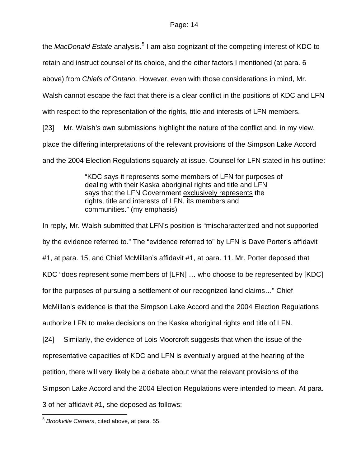the *MacDonald Estate* analysis.<sup>[5](#page-13-0)</sup> I am also cognizant of the competing interest of KDC to

retain and instruct counsel of its choice, and the other factors I mentioned (at para. 6

above) from *Chiefs of Ontario*. However, even with those considerations in mind, Mr.

Walsh cannot escape the fact that there is a clear conflict in the positions of KDC and LFN

with respect to the representation of the rights, title and interests of LFN members.

[23] Mr. Walsh's own submissions highlight the nature of the conflict and, in my view,

place the differing interpretations of the relevant provisions of the Simpson Lake Accord

and the 2004 Election Regulations squarely at issue. Counsel for LFN stated in his outline:

"KDC says it represents some members of LFN for purposes of dealing with their Kaska aboriginal rights and title and LFN says that the LFN Government exclusively represents the rights, title and interests of LFN, its members and communities." (my emphasis)

In reply, Mr. Walsh submitted that LFN's position is "mischaracterized and not supported by the evidence referred to." The "evidence referred to" by LFN is Dave Porter's affidavit #1, at para. 15, and Chief McMillan's affidavit #1, at para. 11. Mr. Porter deposed that KDC "does represent some members of [LFN] … who choose to be represented by [KDC] for the purposes of pursuing a settlement of our recognized land claims…" Chief McMillan's evidence is that the Simpson Lake Accord and the 2004 Election Regulations authorize LFN to make decisions on the Kaska aboriginal rights and title of LFN. [24] Similarly, the evidence of Lois Moorcroft suggests that when the issue of the representative capacities of KDC and LFN is eventually argued at the hearing of the petition, there will very likely be a debate about what the relevant provisions of the Simpson Lake Accord and the 2004 Election Regulations were intended to mean. At para. 3 of her affidavit #1, she deposed as follows:

<span id="page-13-0"></span> $\overline{a}$ <sup>5</sup> *Brookville Carriers*, cited above, at para. 55.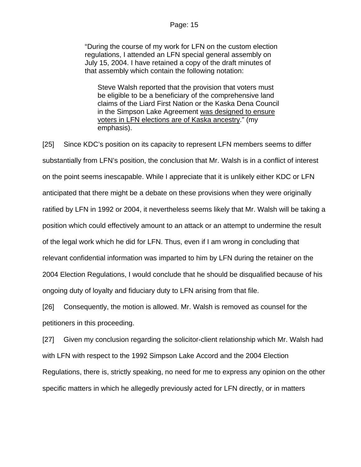"During the course of my work for LFN on the custom election regulations, I attended an LFN special general assembly on July 15, 2004. I have retained a copy of the draft minutes of that assembly which contain the following notation:

Steve Walsh reported that the provision that voters must be eligible to be a beneficiary of the comprehensive land claims of the Liard First Nation or the Kaska Dena Council in the Simpson Lake Agreement was designed to ensure voters in LFN elections are of Kaska ancestry." (my emphasis).

[25] Since KDC's position on its capacity to represent LFN members seems to differ substantially from LFN's position, the conclusion that Mr. Walsh is in a conflict of interest on the point seems inescapable. While I appreciate that it is unlikely either KDC or LFN anticipated that there might be a debate on these provisions when they were originally ratified by LFN in 1992 or 2004, it nevertheless seems likely that Mr. Walsh will be taking a position which could effectively amount to an attack or an attempt to undermine the result of the legal work which he did for LFN. Thus, even if I am wrong in concluding that relevant confidential information was imparted to him by LFN during the retainer on the 2004 Election Regulations, I would conclude that he should be disqualified because of his ongoing duty of loyalty and fiduciary duty to LFN arising from that file.

[26] Consequently, the motion is allowed. Mr. Walsh is removed as counsel for the petitioners in this proceeding.

[27] Given my conclusion regarding the solicitor-client relationship which Mr. Walsh had with LFN with respect to the 1992 Simpson Lake Accord and the 2004 Election Regulations, there is, strictly speaking, no need for me to express any opinion on the other specific matters in which he allegedly previously acted for LFN directly, or in matters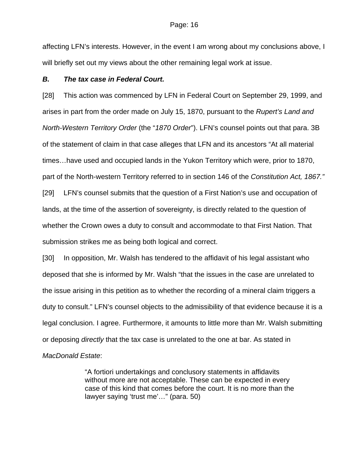#### Page: 16

affecting LFN's interests. However, in the event I am wrong about my conclusions above, I will briefly set out my views about the other remaining legal work at issue.

#### *B. The tax case in Federal Court.*

[28] This action was commenced by LFN in Federal Court on September 29, 1999, and arises in part from the order made on July 15, 1870, pursuant to the *Rupert's Land and North-Western Territory Order* (the "*1870 Order*"). LFN's counsel points out that para. 3B of the statement of claim in that case alleges that LFN and its ancestors "At all material times…have used and occupied lands in the Yukon Territory which were, prior to 1870, part of the North-western Territory referred to in section 146 of the *Constitution Act, 1867."* [29] LFN's counsel submits that the question of a First Nation's use and occupation of lands, at the time of the assertion of sovereignty, is directly related to the question of whether the Crown owes a duty to consult and accommodate to that First Nation. That submission strikes me as being both logical and correct.

[30] In opposition, Mr. Walsh has tendered to the affidavit of his legal assistant who deposed that she is informed by Mr. Walsh "that the issues in the case are unrelated to the issue arising in this petition as to whether the recording of a mineral claim triggers a duty to consult." LFN's counsel objects to the admissibility of that evidence because it is a legal conclusion. I agree. Furthermore, it amounts to little more than Mr. Walsh submitting or deposing *directly* that the tax case is unrelated to the one at bar. As stated in

### *MacDonald Estate*:

"A fortiori undertakings and conclusory statements in affidavits without more are not acceptable. These can be expected in every case of this kind that comes before the court. It is no more than the lawyer saying 'trust me'…" (para. 50)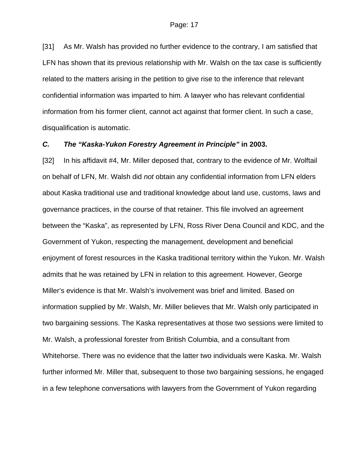[31] As Mr. Walsh has provided no further evidence to the contrary, I am satisfied that LFN has shown that its previous relationship with Mr. Walsh on the tax case is sufficiently related to the matters arising in the petition to give rise to the inference that relevant confidential information was imparted to him. A lawyer who has relevant confidential information from his former client, cannot act against that former client. In such a case, disqualification is automatic.

#### *C. The "Kaska-Yukon Forestry Agreement in Principle"* **in 2003.**

[32] In his affidavit #4, Mr. Miller deposed that, contrary to the evidence of Mr. Wolftail on behalf of LFN, Mr. Walsh did *not* obtain any confidential information from LFN elders about Kaska traditional use and traditional knowledge about land use, customs, laws and governance practices, in the course of that retainer. This file involved an agreement between the "Kaska", as represented by LFN, Ross River Dena Council and KDC, and the Government of Yukon, respecting the management, development and beneficial enjoyment of forest resources in the Kaska traditional territory within the Yukon. Mr. Walsh admits that he was retained by LFN in relation to this agreement. However, George Miller's evidence is that Mr. Walsh's involvement was brief and limited. Based on information supplied by Mr. Walsh, Mr. Miller believes that Mr. Walsh only participated in two bargaining sessions. The Kaska representatives at those two sessions were limited to Mr. Walsh, a professional forester from British Columbia, and a consultant from Whitehorse. There was no evidence that the latter two individuals were Kaska. Mr. Walsh further informed Mr. Miller that, subsequent to those two bargaining sessions, he engaged in a few telephone conversations with lawyers from the Government of Yukon regarding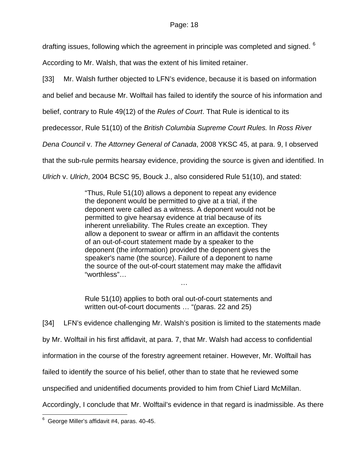drafting issues, following which the agreement in principle was completed and signed. <sup>[6](#page-17-0)</sup>

According to Mr. Walsh, that was the extent of his limited retainer.

[33] Mr. Walsh further objected to LFN's evidence, because it is based on information

and belief and because Mr. Wolftail has failed to identify the source of his information and

belief, contrary to Rule 49(12) of the *Rules of Court*. That Rule is identical to its

predecessor, Rule 51(10) of the *British Columbia Supreme Court Rules.* In *Ross River* 

*Dena Council* v. *The Attorney General of Canada*, 2008 YKSC 45, at para. 9, I observed

that the sub-rule permits hearsay evidence, providing the source is given and identified. In

*Ulrich* v. *Ulrich*, 2004 BCSC 95, Bouck J., also considered Rule 51(10), and stated:

"Thus, Rule 51(10) allows a deponent to repeat any evidence the deponent would be permitted to give at a trial, if the deponent were called as a witness. A deponent would not be permitted to give hearsay evidence at trial because of its inherent unreliability. The Rules create an exception. They allow a deponent to swear or affirm in an affidavit the contents of an out-of-court statement made by a speaker to the deponent (the information) provided the deponent gives the speaker's name (the source). Failure of a deponent to name the source of the out-of-court statement may make the affidavit "worthless"…

Rule 51(10) applies to both oral out-of-court statements and written out-of-court documents … "(paras. 22 and 25)

…

[34] LFN's evidence challenging Mr. Walsh's position is limited to the statements made by Mr. Wolftail in his first affidavit, at para. 7, that Mr. Walsh had access to confidential information in the course of the forestry agreement retainer. However, Mr. Wolftail has failed to identify the source of his belief, other than to state that he reviewed some unspecified and unidentified documents provided to him from Chief Liard McMillan. Accordingly, I conclude that Mr. Wolftail's evidence in that regard is inadmissible. As there

<span id="page-17-0"></span> 6 George Miller's affidavit #4, paras. 40-45.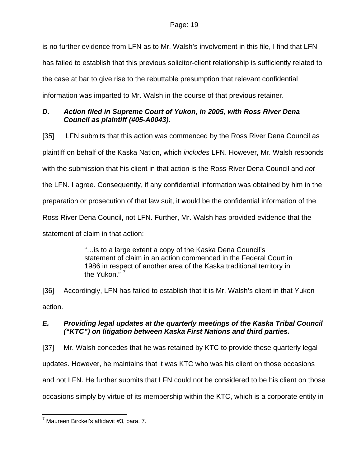is no further evidence from LFN as to Mr. Walsh's involvement in this file, I find that LFN has failed to establish that this previous solicitor-client relationship is sufficiently related to the case at bar to give rise to the rebuttable presumption that relevant confidential information was imparted to Mr. Walsh in the course of that previous retainer.

### *D. Action filed in Supreme Court of Yukon, in 2005, with Ross River Dena Council as plaintiff (#05-A0043).*

[35] LFN submits that this action was commenced by the Ross River Dena Council as plaintiff on behalf of the Kaska Nation, which *includes* LFN. However, Mr. Walsh responds with the submission that his client in that action is the Ross River Dena Council and *not* the LFN. I agree. Consequently, if any confidential information was obtained by him in the preparation or prosecution of that law suit, it would be the confidential information of the Ross River Dena Council, not LFN. Further, Mr. Walsh has provided evidence that the statement of claim in that action:

> "…is to a large extent a copy of the Kaska Dena Council's statement of claim in an action commenced in the Federal Court in 1986 in respect of another area of the Kaska traditional territory in the Yukon $^{\frac{1}{\gamma}7}$  $^{\frac{1}{\gamma}7}$  $^{\frac{1}{\gamma}7}$

[36] Accordingly, LFN has failed to establish that it is Mr. Walsh's client in that Yukon action.

## *E. Providing legal updates at the quarterly meetings of the Kaska Tribal Council ("KTC") on litigation between Kaska First Nations and third parties.*

[37] Mr. Walsh concedes that he was retained by KTC to provide these quarterly legal updates. However, he maintains that it was KTC who was his client on those occasions and not LFN. He further submits that LFN could not be considered to be his client on those occasions simply by virtue of its membership within the KTC, which is a corporate entity in

<span id="page-18-0"></span> $\overline{a}$  $^7$  Maureen Birckel's affidavit #3, para. 7.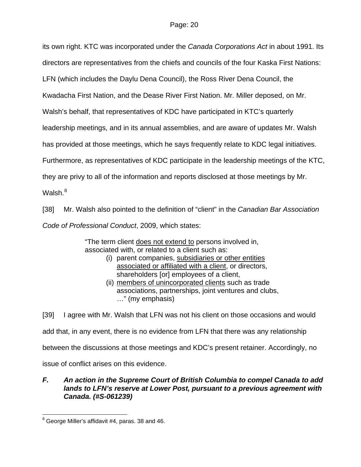its own right. KTC was incorporated under the *Canada Corporations Act* in about 1991. Its directors are representatives from the chiefs and councils of the four Kaska First Nations: LFN (which includes the Daylu Dena Council), the Ross River Dena Council, the Kwadacha First Nation, and the Dease River First Nation. Mr. Miller deposed, on Mr. Walsh's behalf, that representatives of KDC have participated in KTC's quarterly leadership meetings, and in its annual assemblies, and are aware of updates Mr. Walsh has provided at those meetings, which he says frequently relate to KDC legal initiatives. Furthermore, as representatives of KDC participate in the leadership meetings of the KTC, they are privy to all of the information and reports disclosed at those meetings by Mr. Walsh. $^8\,$  $^8\,$  $^8\,$ 

[38] Mr. Walsh also pointed to the definition of "client" in the *Canadian Bar Association Code of Professional Conduct*, 2009, which states:

> "The term client does not extend to persons involved in, associated with, or related to a client such as:

- (i) parent companies, subsidiaries or other entities associated or affiliated with a client, or directors, shareholders [or] employees of a client,
- (ii) members of unincorporated clients such as trade associations, partnerships, joint ventures and clubs, …" (my emphasis)

[39] I agree with Mr. Walsh that LFN was not his client on those occasions and would

add that, in any event, there is no evidence from LFN that there was any relationship

between the discussions at those meetings and KDC's present retainer. Accordingly, no

issue of conflict arises on this evidence.

### *F. An action in the Supreme Court of British Columbia to compel Canada to add lands to LFN's reserve at Lower Post, pursuant to a previous agreement with Canada. (#S-061239)*

 $\overline{a}$ 

<span id="page-19-0"></span> $8$  George Miller's affidavit #4, paras. 38 and 46.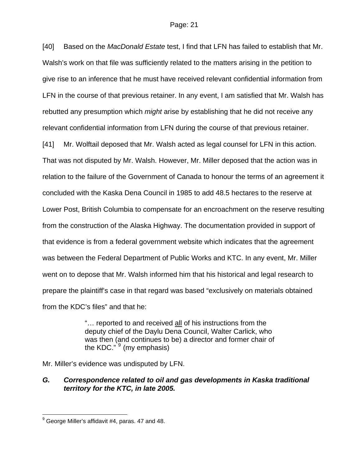[40] Based on the *MacDonald Estate* test, I find that LFN has failed to establish that Mr. Walsh's work on that file was sufficiently related to the matters arising in the petition to give rise to an inference that he must have received relevant confidential information from LFN in the course of that previous retainer. In any event, I am satisfied that Mr. Walsh has rebutted any presumption which *might* arise by establishing that he did not receive any relevant confidential information from LFN during the course of that previous retainer.

[41] Mr. Wolftail deposed that Mr. Walsh acted as legal counsel for LFN in this action. That was not disputed by Mr. Walsh. However, Mr. Miller deposed that the action was in relation to the failure of the Government of Canada to honour the terms of an agreement it concluded with the Kaska Dena Council in 1985 to add 48.5 hectares to the reserve at Lower Post, British Columbia to compensate for an encroachment on the reserve resulting from the construction of the Alaska Highway. The documentation provided in support of that evidence is from a federal government website which indicates that the agreement was between the Federal Department of Public Works and KTC. In any event, Mr. Miller went on to depose that Mr. Walsh informed him that his historical and legal research to prepare the plaintiff's case in that regard was based "exclusively on materials obtained from the KDC's files" and that he:

> "… reported to and received all of his instructions from the deputy chief of the Daylu Dena Council, Walter Carlick, who was then (and continues to be) a director and former chair of the KDC." <sup>[9](#page-20-0)</sup> (my emphasis)

Mr. Miller's evidence was undisputed by LFN.

### *G. Correspondence related to oil and gas developments in Kaska traditional territory for the KTC, in late 2005.*

 $\overline{a}$ 

<span id="page-20-0"></span> $^9$  George Miller's affidavit #4, paras. 47 and 48.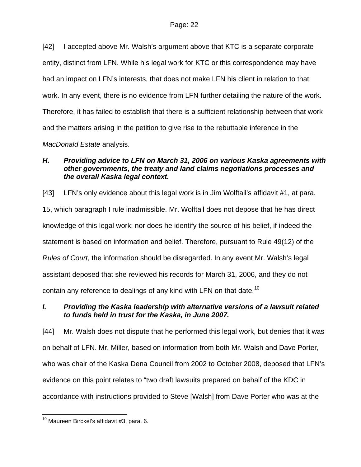[42] I accepted above Mr. Walsh's argument above that KTC is a separate corporate entity, distinct from LFN. While his legal work for KTC or this correspondence may have had an impact on LFN's interests, that does not make LFN his client in relation to that work. In any event, there is no evidence from LFN further detailing the nature of the work. Therefore, it has failed to establish that there is a sufficient relationship between that work and the matters arising in the petition to give rise to the rebuttable inference in the

*MacDonald Estate* analysis.

### *H. Providing advice to LFN on March 31, 2006 on various Kaska agreements with other governments, the treaty and land claims negotiations processes and the overall Kaska legal context.*

[43] LFN's only evidence about this legal work is in Jim Wolftail's affidavit #1, at para. 15, which paragraph I rule inadmissible. Mr. Wolftail does not depose that he has direct knowledge of this legal work; nor does he identify the source of his belief, if indeed the statement is based on information and belief. Therefore, pursuant to Rule 49(12) of the *Rules of Court*, the information should be disregarded. In any event Mr. Walsh's legal assistant deposed that she reviewed his records for March 31, 2006, and they do not contain any reference to dealings of any kind with LFN on that date.<sup>[10](#page-21-0)</sup>

## *I. Providing the Kaska leadership with alternative versions of a lawsuit related to funds held in trust for the Kaska, in June 2007.*

[44] Mr. Walsh does not dispute that he performed this legal work, but denies that it was on behalf of LFN. Mr. Miller, based on information from both Mr. Walsh and Dave Porter, who was chair of the Kaska Dena Council from 2002 to October 2008, deposed that LFN's evidence on this point relates to "two draft lawsuits prepared on behalf of the KDC in accordance with instructions provided to Steve [Walsh] from Dave Porter who was at the

<span id="page-21-0"></span> $\overline{a}$  $10$  Maureen Birckel's affidavit #3, para. 6.